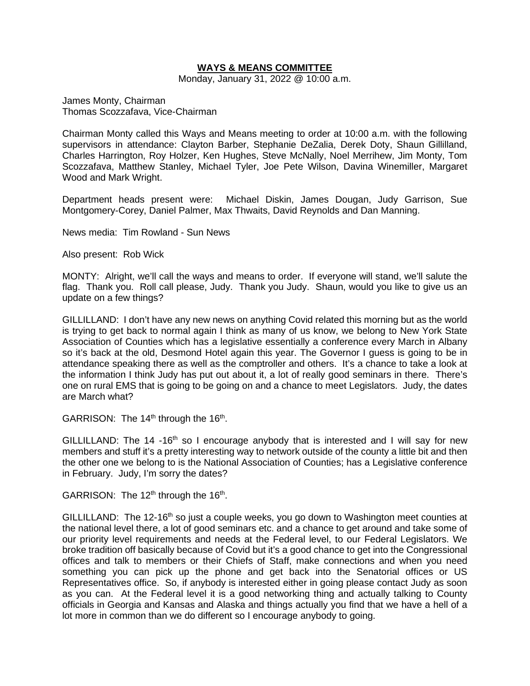# **WAYS & MEANS COMMITTEE**

Monday, January 31, 2022 @ 10:00 a.m.

James Monty, Chairman Thomas Scozzafava, Vice-Chairman

Chairman Monty called this Ways and Means meeting to order at 10:00 a.m. with the following supervisors in attendance: Clayton Barber, Stephanie DeZalia, Derek Doty, Shaun Gillilland, Charles Harrington, Roy Holzer, Ken Hughes, Steve McNally, Noel Merrihew, Jim Monty, Tom Scozzafava, Matthew Stanley, Michael Tyler, Joe Pete Wilson, Davina Winemiller, Margaret Wood and Mark Wright.

Department heads present were: Michael Diskin, James Dougan, Judy Garrison, Sue Montgomery-Corey, Daniel Palmer, Max Thwaits, David Reynolds and Dan Manning.

News media: Tim Rowland - Sun News

Also present: Rob Wick

MONTY: Alright, we'll call the ways and means to order. If everyone will stand, we'll salute the flag. Thank you. Roll call please, Judy. Thank you Judy. Shaun, would you like to give us an update on a few things?

GILLILLAND: I don't have any new news on anything Covid related this morning but as the world is trying to get back to normal again I think as many of us know, we belong to New York State Association of Counties which has a legislative essentially a conference every March in Albany so it's back at the old, Desmond Hotel again this year. The Governor I guess is going to be in attendance speaking there as well as the comptroller and others. It's a chance to take a look at the information I think Judy has put out about it, a lot of really good seminars in there. There's one on rural EMS that is going to be going on and a chance to meet Legislators. Judy, the dates are March what?

GARRISON: The  $14<sup>th</sup>$  through the  $16<sup>th</sup>$ .

GILLILLAND: The 14 -16<sup>th</sup> so I encourage anybody that is interested and I will say for new members and stuff it's a pretty interesting way to network outside of the county a little bit and then the other one we belong to is the National Association of Counties; has a Legislative conference in February. Judy, I'm sorry the dates?

GARRISON: The  $12<sup>th</sup>$  through the  $16<sup>th</sup>$ .

GILLILLAND: The 12-16<sup>th</sup> so just a couple weeks, you go down to Washington meet counties at the national level there, a lot of good seminars etc. and a chance to get around and take some of our priority level requirements and needs at the Federal level, to our Federal Legislators. We broke tradition off basically because of Covid but it's a good chance to get into the Congressional offices and talk to members or their Chiefs of Staff, make connections and when you need something you can pick up the phone and get back into the Senatorial offices or US Representatives office. So, if anybody is interested either in going please contact Judy as soon as you can. At the Federal level it is a good networking thing and actually talking to County officials in Georgia and Kansas and Alaska and things actually you find that we have a hell of a lot more in common than we do different so I encourage anybody to going.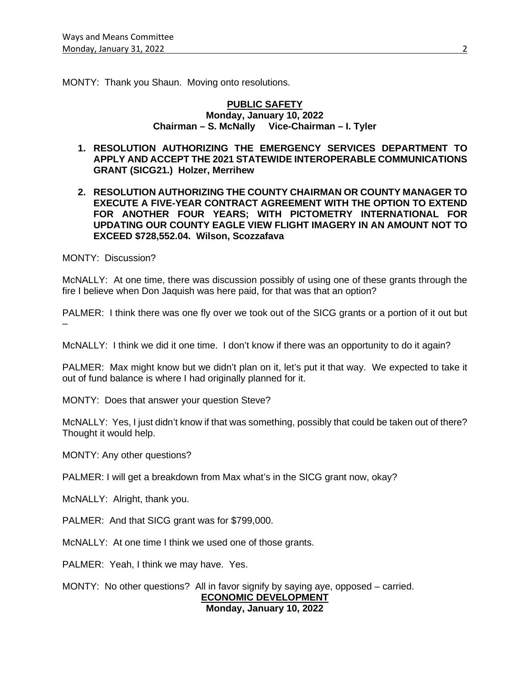MONTY: Thank you Shaun. Moving onto resolutions.

#### **PUBLIC SAFETY Monday, January 10, 2022 Chairman – S. McNally Vice-Chairman – I. Tyler**

- **1. RESOLUTION AUTHORIZING THE EMERGENCY SERVICES DEPARTMENT TO APPLY AND ACCEPT THE 2021 STATEWIDE INTEROPERABLE COMMUNICATIONS GRANT (SICG21.) Holzer, Merrihew**
- **2. RESOLUTION AUTHORIZING THE COUNTY CHAIRMAN OR COUNTY MANAGER TO EXECUTE A FIVE-YEAR CONTRACT AGREEMENT WITH THE OPTION TO EXTEND FOR ANOTHER FOUR YEARS; WITH PICTOMETRY INTERNATIONAL FOR UPDATING OUR COUNTY EAGLE VIEW FLIGHT IMAGERY IN AN AMOUNT NOT TO EXCEED \$728,552.04. Wilson, Scozzafava**

MONTY: Discussion?

McNALLY: At one time, there was discussion possibly of using one of these grants through the fire I believe when Don Jaquish was here paid, for that was that an option?

PALMER: I think there was one fly over we took out of the SICG grants or a portion of it out but –

McNALLY: I think we did it one time. I don't know if there was an opportunity to do it again?

PALMER: Max might know but we didn't plan on it, let's put it that way. We expected to take it out of fund balance is where I had originally planned for it.

MONTY: Does that answer your question Steve?

McNALLY: Yes, I just didn't know if that was something, possibly that could be taken out of there? Thought it would help.

MONTY: Any other questions?

PALMER: I will get a breakdown from Max what's in the SICG grant now, okay?

McNALLY: Alright, thank you.

PALMER: And that SICG grant was for \$799,000.

McNALLY: At one time I think we used one of those grants.

PALMER: Yeah, I think we may have. Yes.

MONTY: No other questions? All in favor signify by saying aye, opposed – carried. **ECONOMIC DEVELOPMENT Monday, January 10, 2022**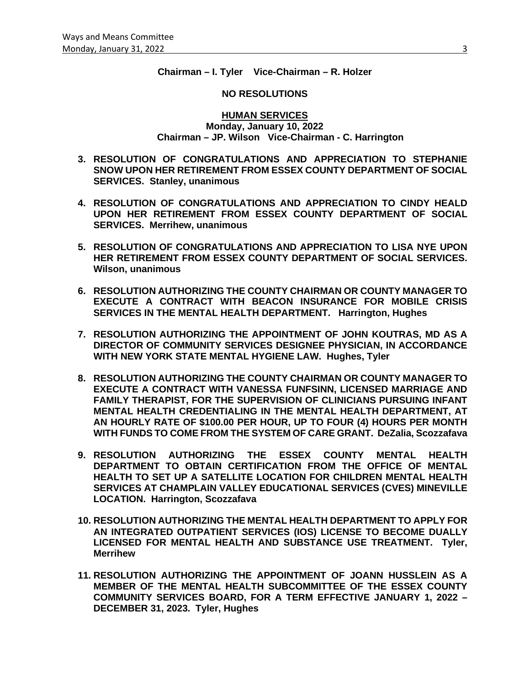# **Chairman – I. Tyler Vice-Chairman – R. Holzer**

#### **NO RESOLUTIONS**

**HUMAN SERVICES Monday, January 10, 2022 Chairman – JP. Wilson Vice-Chairman - C. Harrington**

- **3. RESOLUTION OF CONGRATULATIONS AND APPRECIATION TO STEPHANIE SNOW UPON HER RETIREMENT FROM ESSEX COUNTY DEPARTMENT OF SOCIAL SERVICES. Stanley, unanimous**
- **4. RESOLUTION OF CONGRATULATIONS AND APPRECIATION TO CINDY HEALD UPON HER RETIREMENT FROM ESSEX COUNTY DEPARTMENT OF SOCIAL SERVICES. Merrihew, unanimous**
- **5. RESOLUTION OF CONGRATULATIONS AND APPRECIATION TO LISA NYE UPON HER RETIREMENT FROM ESSEX COUNTY DEPARTMENT OF SOCIAL SERVICES. Wilson, unanimous**
- **6. RESOLUTION AUTHORIZING THE COUNTY CHAIRMAN OR COUNTY MANAGER TO EXECUTE A CONTRACT WITH BEACON INSURANCE FOR MOBILE CRISIS SERVICES IN THE MENTAL HEALTH DEPARTMENT. Harrington, Hughes**
- **7. RESOLUTION AUTHORIZING THE APPOINTMENT OF JOHN KOUTRAS, MD AS A DIRECTOR OF COMMUNITY SERVICES DESIGNEE PHYSICIAN, IN ACCORDANCE WITH NEW YORK STATE MENTAL HYGIENE LAW. Hughes, Tyler**
- **8. RESOLUTION AUTHORIZING THE COUNTY CHAIRMAN OR COUNTY MANAGER TO EXECUTE A CONTRACT WITH VANESSA FUNFSINN, LICENSED MARRIAGE AND FAMILY THERAPIST, FOR THE SUPERVISION OF CLINICIANS PURSUING INFANT MENTAL HEALTH CREDENTIALING IN THE MENTAL HEALTH DEPARTMENT, AT AN HOURLY RATE OF \$100.00 PER HOUR, UP TO FOUR (4) HOURS PER MONTH WITH FUNDS TO COME FROM THE SYSTEM OF CARE GRANT. DeZalia, Scozzafava**
- **9. RESOLUTION AUTHORIZING THE ESSEX COUNTY MENTAL HEALTH DEPARTMENT TO OBTAIN CERTIFICATION FROM THE OFFICE OF MENTAL HEALTH TO SET UP A SATELLITE LOCATION FOR CHILDREN MENTAL HEALTH SERVICES AT CHAMPLAIN VALLEY EDUCATIONAL SERVICES (CVES) MINEVILLE LOCATION. Harrington, Scozzafava**
- **10. RESOLUTION AUTHORIZING THE MENTAL HEALTH DEPARTMENT TO APPLY FOR AN INTEGRATED OUTPATIENT SERVICES (IOS) LICENSE TO BECOME DUALLY LICENSED FOR MENTAL HEALTH AND SUBSTANCE USE TREATMENT. Tyler, Merrihew**
- **11. RESOLUTION AUTHORIZING THE APPOINTMENT OF JOANN HUSSLEIN AS A MEMBER OF THE MENTAL HEALTH SUBCOMMITTEE OF THE ESSEX COUNTY COMMUNITY SERVICES BOARD, FOR A TERM EFFECTIVE JANUARY 1, 2022 – DECEMBER 31, 2023. Tyler, Hughes**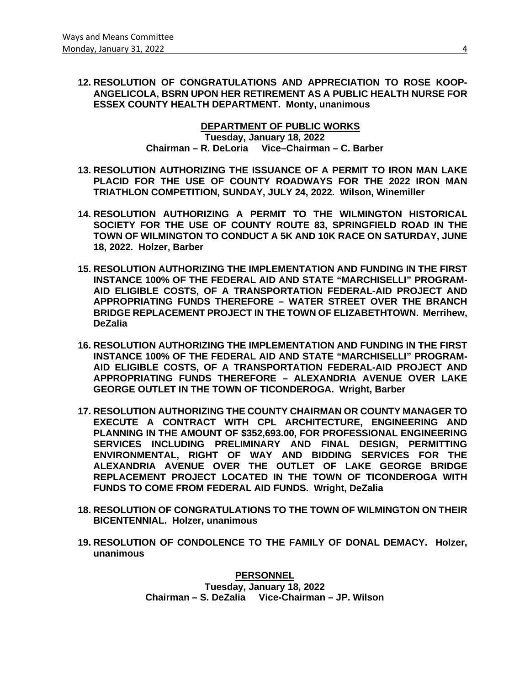**12. RESOLUTION OF CONGRATULATIONS AND APPRECIATION TO ROSE KOOP-ANGELICOLA, BSRN UPON HER RETIREMENT AS A PUBLIC HEALTH NURSE FOR ESSEX COUNTY HEALTH DEPARTMENT. Monty, unanimous**

> **DEPARTMENT OF PUBLIC WORKS Tuesday, January 18, 2022 Chairman – R. DeLoria Vice–Chairman – C. Barber**

- **13. RESOLUTION AUTHORIZING THE ISSUANCE OF A PERMIT TO IRON MAN LAKE PLACID FOR THE USE OF COUNTY ROADWAYS FOR THE 2022 IRON MAN TRIATHLON COMPETITION, SUNDAY, JULY 24, 2022. Wilson, Winemiller**
- **14. RESOLUTION AUTHORIZING A PERMIT TO THE WILMINGTON HISTORICAL SOCIETY FOR THE USE OF COUNTY ROUTE 83, SPRINGFIELD ROAD IN THE TOWN OF WILMINGTON TO CONDUCT A 5K AND 10K RACE ON SATURDAY, JUNE 18, 2022. Holzer, Barber**
- **15. RESOLUTION AUTHORIZING THE IMPLEMENTATION AND FUNDING IN THE FIRST INSTANCE 100% OF THE FEDERAL AID AND STATE "MARCHISELLI" PROGRAM-AID ELIGIBLE COSTS, OF A TRANSPORTATION FEDERAL-AID PROJECT AND APPROPRIATING FUNDS THEREFORE – WATER STREET OVER THE BRANCH BRIDGE REPLACEMENT PROJECT IN THE TOWN OF ELIZABETHTOWN. Merrihew, DeZalia**
- **16. RESOLUTION AUTHORIZING THE IMPLEMENTATION AND FUNDING IN THE FIRST INSTANCE 100% OF THE FEDERAL AID AND STATE "MARCHISELLI" PROGRAM-AID ELIGIBLE COSTS, OF A TRANSPORTATION FEDERAL-AID PROJECT AND APPROPRIATING FUNDS THEREFORE – ALEXANDRIA AVENUE OVER LAKE GEORGE OUTLET IN THE TOWN OF TICONDEROGA. Wright, Barber**
- **17. RESOLUTION AUTHORIZING THE COUNTY CHAIRMAN OR COUNTY MANAGER TO EXECUTE A CONTRACT WITH CPL ARCHITECTURE, ENGINEERING AND PLANNING IN THE AMOUNT OF \$352,693.00, FOR PROFESSIONAL ENGINEERING SERVICES INCLUDING PRELIMINARY AND FINAL DESIGN, PERMITTING ENVIRONMENTAL, RIGHT OF WAY AND BIDDING SERVICES FOR THE ALEXANDRIA AVENUE OVER THE OUTLET OF LAKE GEORGE BRIDGE REPLACEMENT PROJECT LOCATED IN THE TOWN OF TICONDEROGA WITH FUNDS TO COME FROM FEDERAL AID FUNDS. Wright, DeZalia**
- **18. RESOLUTION OF CONGRATULATIONS TO THE TOWN OF WILMINGTON ON THEIR BICENTENNIAL. Holzer, unanimous**
- **19. RESOLUTION OF CONDOLENCE TO THE FAMILY OF DONAL DEMACY. Holzer, unanimous**

**PERSONNEL Tuesday, January 18, 2022 Chairman – S. DeZalia Vice-Chairman – JP. Wilson**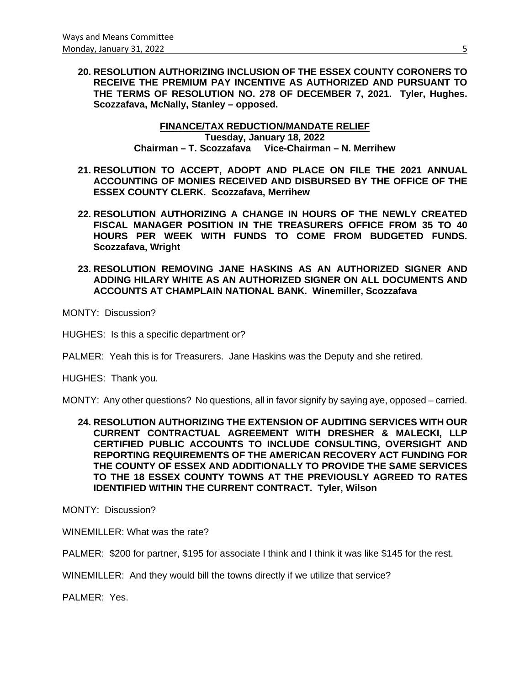**20. RESOLUTION AUTHORIZING INCLUSION OF THE ESSEX COUNTY CORONERS TO RECEIVE THE PREMIUM PAY INCENTIVE AS AUTHORIZED AND PURSUANT TO THE TERMS OF RESOLUTION NO. 278 OF DECEMBER 7, 2021. Tyler, Hughes. Scozzafava, McNally, Stanley – opposed.**

# **FINANCE/TAX REDUCTION/MANDATE RELIEF Tuesday, January 18, 2022 Chairman – T. Scozzafava Vice-Chairman – N. Merrihew**

- **21. RESOLUTION TO ACCEPT, ADOPT AND PLACE ON FILE THE 2021 ANNUAL ACCOUNTING OF MONIES RECEIVED AND DISBURSED BY THE OFFICE OF THE ESSEX COUNTY CLERK. Scozzafava, Merrihew**
- **22. RESOLUTION AUTHORIZING A CHANGE IN HOURS OF THE NEWLY CREATED FISCAL MANAGER POSITION IN THE TREASURERS OFFICE FROM 35 TO 40 HOURS PER WEEK WITH FUNDS TO COME FROM BUDGETED FUNDS. Scozzafava, Wright**
- **23. RESOLUTION REMOVING JANE HASKINS AS AN AUTHORIZED SIGNER AND ADDING HILARY WHITE AS AN AUTHORIZED SIGNER ON ALL DOCUMENTS AND ACCOUNTS AT CHAMPLAIN NATIONAL BANK. Winemiller, Scozzafava**

MONTY: Discussion?

HUGHES: Is this a specific department or?

PALMER: Yeah this is for Treasurers. Jane Haskins was the Deputy and she retired.

HUGHES: Thank you.

MONTY: Any other questions? No questions, all in favor signify by saying aye, opposed – carried.

**24. RESOLUTION AUTHORIZING THE EXTENSION OF AUDITING SERVICES WITH OUR CURRENT CONTRACTUAL AGREEMENT WITH DRESHER & MALECKI, LLP CERTIFIED PUBLIC ACCOUNTS TO INCLUDE CONSULTING, OVERSIGHT AND REPORTING REQUIREMENTS OF THE AMERICAN RECOVERY ACT FUNDING FOR THE COUNTY OF ESSEX AND ADDITIONALLY TO PROVIDE THE SAME SERVICES TO THE 18 ESSEX COUNTY TOWNS AT THE PREVIOUSLY AGREED TO RATES IDENTIFIED WITHIN THE CURRENT CONTRACT. Tyler, Wilson**

MONTY: Discussion?

WINEMILLER: What was the rate?

PALMER: \$200 for partner, \$195 for associate I think and I think it was like \$145 for the rest.

WINEMILLER: And they would bill the towns directly if we utilize that service?

PALMER: Yes.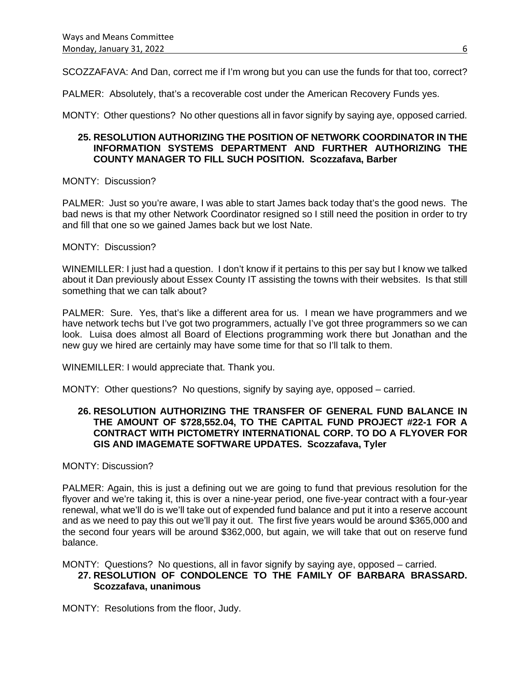SCOZZAFAVA: And Dan, correct me if I'm wrong but you can use the funds for that too, correct?

PALMER: Absolutely, that's a recoverable cost under the American Recovery Funds yes.

MONTY: Other questions? No other questions all in favor signify by saying aye, opposed carried.

### **25. RESOLUTION AUTHORIZING THE POSITION OF NETWORK COORDINATOR IN THE INFORMATION SYSTEMS DEPARTMENT AND FURTHER AUTHORIZING THE COUNTY MANAGER TO FILL SUCH POSITION. Scozzafava, Barber**

### MONTY: Discussion?

PALMER: Just so you're aware, I was able to start James back today that's the good news. The bad news is that my other Network Coordinator resigned so I still need the position in order to try and fill that one so we gained James back but we lost Nate.

MONTY: Discussion?

WINEMILLER: I just had a question. I don't know if it pertains to this per say but I know we talked about it Dan previously about Essex County IT assisting the towns with their websites. Is that still something that we can talk about?

PALMER: Sure. Yes, that's like a different area for us. I mean we have programmers and we have network techs but I've got two programmers, actually I've got three programmers so we can look. Luisa does almost all Board of Elections programming work there but Jonathan and the new guy we hired are certainly may have some time for that so I'll talk to them.

WINEMILLER: I would appreciate that. Thank you.

MONTY: Other questions? No questions, signify by saying aye, opposed – carried.

# **26. RESOLUTION AUTHORIZING THE TRANSFER OF GENERAL FUND BALANCE IN THE AMOUNT OF \$728,552.04, TO THE CAPITAL FUND PROJECT #22-1 FOR A CONTRACT WITH PICTOMETRY INTERNATIONAL CORP. TO DO A FLYOVER FOR GIS AND IMAGEMATE SOFTWARE UPDATES. Scozzafava, Tyler**

### MONTY: Discussion?

PALMER: Again, this is just a defining out we are going to fund that previous resolution for the flyover and we're taking it, this is over a nine-year period, one five-year contract with a four-year renewal, what we'll do is we'll take out of expended fund balance and put it into a reserve account and as we need to pay this out we'll pay it out. The first five years would be around \$365,000 and the second four years will be around \$362,000, but again, we will take that out on reserve fund balance.

MONTY: Questions? No questions, all in favor signify by saying aye, opposed – carried.

# **27. RESOLUTION OF CONDOLENCE TO THE FAMILY OF BARBARA BRASSARD. Scozzafava, unanimous**

MONTY: Resolutions from the floor, Judy.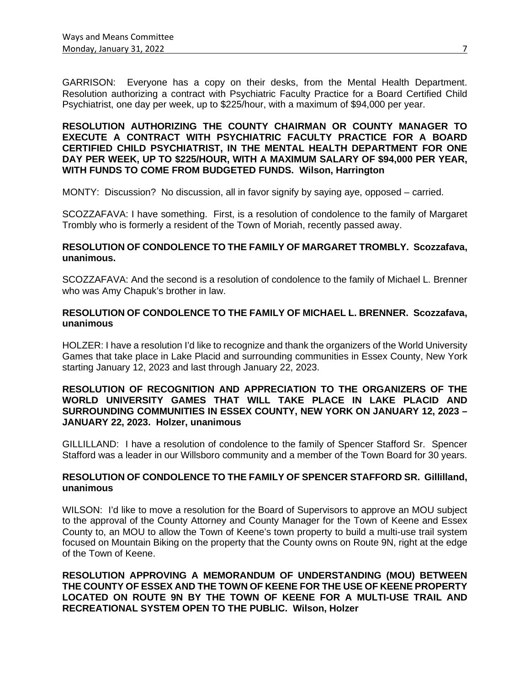GARRISON: Everyone has a copy on their desks, from the Mental Health Department. Resolution authorizing a contract with Psychiatric Faculty Practice for a Board Certified Child Psychiatrist, one day per week, up to \$225/hour, with a maximum of \$94,000 per year.

**RESOLUTION AUTHORIZING THE COUNTY CHAIRMAN OR COUNTY MANAGER TO EXECUTE A CONTRACT WITH PSYCHIATRIC FACULTY PRACTICE FOR A BOARD CERTIFIED CHILD PSYCHIATRIST, IN THE MENTAL HEALTH DEPARTMENT FOR ONE DAY PER WEEK, UP TO \$225/HOUR, WITH A MAXIMUM SALARY OF \$94,000 PER YEAR, WITH FUNDS TO COME FROM BUDGETED FUNDS. Wilson, Harrington**

MONTY: Discussion? No discussion, all in favor signify by saying aye, opposed – carried.

SCOZZAFAVA: I have something. First, is a resolution of condolence to the family of Margaret Trombly who is formerly a resident of the Town of Moriah, recently passed away.

### **RESOLUTION OF CONDOLENCE TO THE FAMILY OF MARGARET TROMBLY. Scozzafava, unanimous.**

SCOZZAFAVA: And the second is a resolution of condolence to the family of Michael L. Brenner who was Amy Chapuk's brother in law.

### **RESOLUTION OF CONDOLENCE TO THE FAMILY OF MICHAEL L. BRENNER. Scozzafava, unanimous**

HOLZER: I have a resolution I'd like to recognize and thank the organizers of the World University Games that take place in Lake Placid and surrounding communities in Essex County, New York starting January 12, 2023 and last through January 22, 2023.

### **RESOLUTION OF RECOGNITION AND APPRECIATION TO THE ORGANIZERS OF THE WORLD UNIVERSITY GAMES THAT WILL TAKE PLACE IN LAKE PLACID AND SURROUNDING COMMUNITIES IN ESSEX COUNTY, NEW YORK ON JANUARY 12, 2023 – JANUARY 22, 2023. Holzer, unanimous**

GILLILLAND: I have a resolution of condolence to the family of Spencer Stafford Sr. Spencer Stafford was a leader in our Willsboro community and a member of the Town Board for 30 years.

# **RESOLUTION OF CONDOLENCE TO THE FAMILY OF SPENCER STAFFORD SR. Gillilland, unanimous**

WILSON: I'd like to move a resolution for the Board of Supervisors to approve an MOU subject to the approval of the County Attorney and County Manager for the Town of Keene and Essex County to, an MOU to allow the Town of Keene's town property to build a multi-use trail system focused on Mountain Biking on the property that the County owns on Route 9N, right at the edge of the Town of Keene.

**RESOLUTION APPROVING A MEMORANDUM OF UNDERSTANDING (MOU) BETWEEN THE COUNTY OF ESSEX AND THE TOWN OF KEENE FOR THE USE OF KEENE PROPERTY LOCATED ON ROUTE 9N BY THE TOWN OF KEENE FOR A MULTI-USE TRAIL AND RECREATIONAL SYSTEM OPEN TO THE PUBLIC. Wilson, Holzer**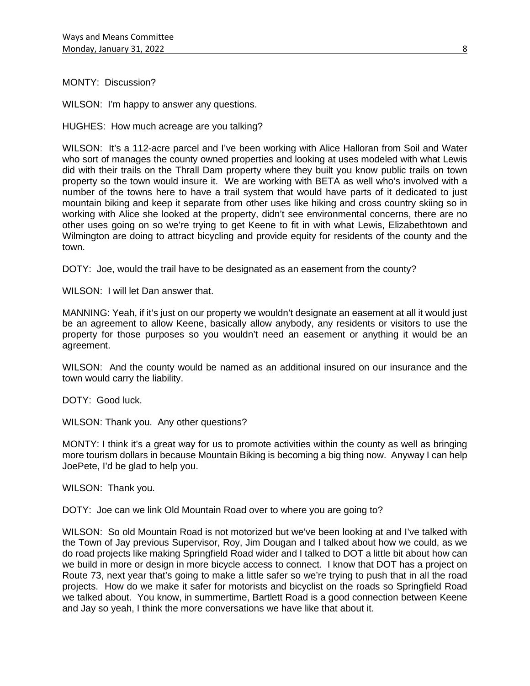MONTY: Discussion?

WILSON: I'm happy to answer any questions.

HUGHES: How much acreage are you talking?

WILSON: It's a 112-acre parcel and I've been working with Alice Halloran from Soil and Water who sort of manages the county owned properties and looking at uses modeled with what Lewis did with their trails on the Thrall Dam property where they built you know public trails on town property so the town would insure it. We are working with BETA as well who's involved with a number of the towns here to have a trail system that would have parts of it dedicated to just mountain biking and keep it separate from other uses like hiking and cross country skiing so in working with Alice she looked at the property, didn't see environmental concerns, there are no other uses going on so we're trying to get Keene to fit in with what Lewis, Elizabethtown and Wilmington are doing to attract bicycling and provide equity for residents of the county and the town.

DOTY: Joe, would the trail have to be designated as an easement from the county?

WILSON: I will let Dan answer that.

MANNING: Yeah, if it's just on our property we wouldn't designate an easement at all it would just be an agreement to allow Keene, basically allow anybody, any residents or visitors to use the property for those purposes so you wouldn't need an easement or anything it would be an agreement.

WILSON: And the county would be named as an additional insured on our insurance and the town would carry the liability.

DOTY: Good luck.

WILSON: Thank you. Any other questions?

MONTY: I think it's a great way for us to promote activities within the county as well as bringing more tourism dollars in because Mountain Biking is becoming a big thing now. Anyway I can help JoePete, I'd be glad to help you.

WILSON: Thank you.

DOTY: Joe can we link Old Mountain Road over to where you are going to?

WILSON: So old Mountain Road is not motorized but we've been looking at and I've talked with the Town of Jay previous Supervisor, Roy, Jim Dougan and I talked about how we could, as we do road projects like making Springfield Road wider and I talked to DOT a little bit about how can we build in more or design in more bicycle access to connect. I know that DOT has a project on Route 73, next year that's going to make a little safer so we're trying to push that in all the road projects. How do we make it safer for motorists and bicyclist on the roads so Springfield Road we talked about. You know, in summertime, Bartlett Road is a good connection between Keene and Jay so yeah, I think the more conversations we have like that about it.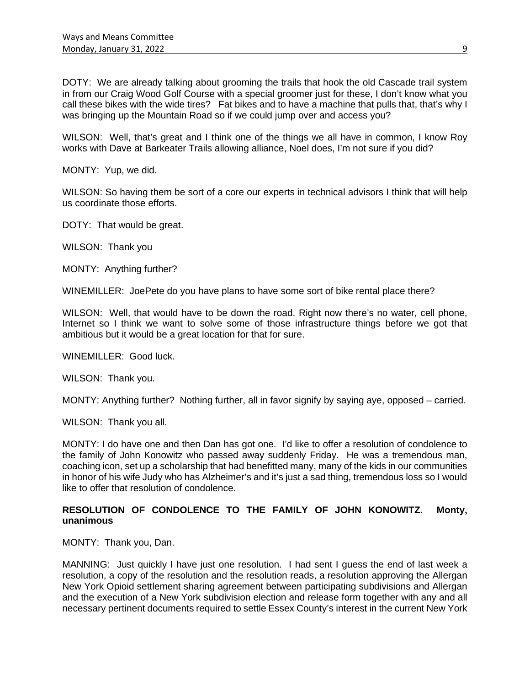DOTY: We are already talking about grooming the trails that hook the old Cascade trail system in from our Craig Wood Golf Course with a special groomer just for these, I don't know what you call these bikes with the wide tires? Fat bikes and to have a machine that pulls that, that's why I was bringing up the Mountain Road so if we could jump over and access you?

WILSON: Well, that's great and I think one of the things we all have in common, I know Roy works with Dave at Barkeater Trails allowing alliance, Noel does, I'm not sure if you did?

MONTY: Yup, we did.

WILSON: So having them be sort of a core our experts in technical advisors I think that will help us coordinate those efforts.

DOTY: That would be great.

WILSON: Thank you

MONTY: Anything further?

WINEMILLER: JoePete do you have plans to have some sort of bike rental place there?

WILSON: Well, that would have to be down the road. Right now there's no water, cell phone, Internet so I think we want to solve some of those infrastructure things before we got that ambitious but it would be a great location for that for sure.

WINEMILLER: Good luck.

WILSON: Thank you.

MONTY: Anything further? Nothing further, all in favor signify by saying aye, opposed – carried.

WILSON: Thank you all.

MONTY: I do have one and then Dan has got one. I'd like to offer a resolution of condolence to the family of John Konowitz who passed away suddenly Friday. He was a tremendous man, coaching icon, set up a scholarship that had benefitted many, many of the kids in our communities in honor of his wife Judy who has Alzheimer's and it's just a sad thing, tremendous loss so I would like to offer that resolution of condolence.

# **RESOLUTION OF CONDOLENCE TO THE FAMILY OF JOHN KONOWITZ. Monty, unanimous**

MONTY: Thank you, Dan.

MANNING: Just quickly I have just one resolution. I had sent I guess the end of last week a resolution, a copy of the resolution and the resolution reads, a resolution approving the Allergan New York Opioid settlement sharing agreement between participating subdivisions and Allergan and the execution of a New York subdivision election and release form together with any and all necessary pertinent documents required to settle Essex County's interest in the current New York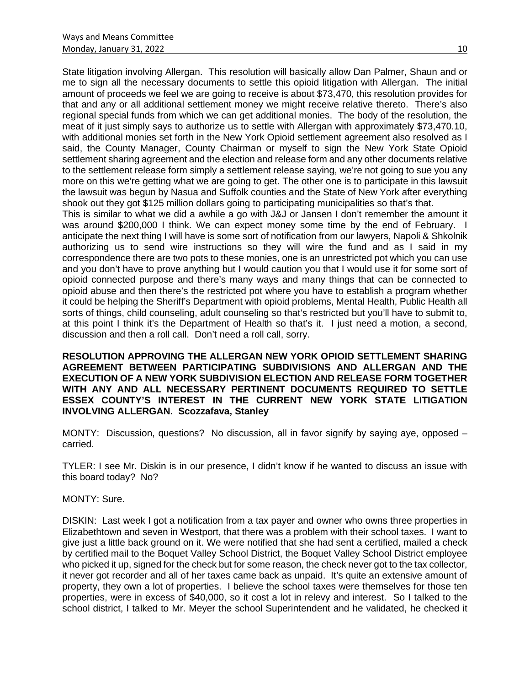State litigation involving Allergan. This resolution will basically allow Dan Palmer, Shaun and or me to sign all the necessary documents to settle this opioid litigation with Allergan. The initial amount of proceeds we feel we are going to receive is about \$73,470, this resolution provides for that and any or all additional settlement money we might receive relative thereto. There's also regional special funds from which we can get additional monies. The body of the resolution, the meat of it just simply says to authorize us to settle with Allergan with approximately \$73,470.10, with additional monies set forth in the New York Opioid settlement agreement also resolved as I said, the County Manager, County Chairman or myself to sign the New York State Opioid settlement sharing agreement and the election and release form and any other documents relative to the settlement release form simply a settlement release saying, we're not going to sue you any more on this we're getting what we are going to get. The other one is to participate in this lawsuit the lawsuit was begun by Nasua and Suffolk counties and the State of New York after everything shook out they got \$125 million dollars going to participating municipalities so that's that.

This is similar to what we did a awhile a go with J&J or Jansen I don't remember the amount it was around \$200,000 I think. We can expect money some time by the end of February. I anticipate the next thing I will have is some sort of notification from our lawyers, Napoli & Shkolnik authorizing us to send wire instructions so they will wire the fund and as I said in my correspondence there are two pots to these monies, one is an unrestricted pot which you can use and you don't have to prove anything but I would caution you that I would use it for some sort of opioid connected purpose and there's many ways and many things that can be connected to opioid abuse and then there's the restricted pot where you have to establish a program whether it could be helping the Sheriff's Department with opioid problems, Mental Health, Public Health all sorts of things, child counseling, adult counseling so that's restricted but you'll have to submit to, at this point I think it's the Department of Health so that's it. I just need a motion, a second, discussion and then a roll call. Don't need a roll call, sorry.

**RESOLUTION APPROVING THE ALLERGAN NEW YORK OPIOID SETTLEMENT SHARING AGREEMENT BETWEEN PARTICIPATING SUBDIVISIONS AND ALLERGAN AND THE EXECUTION OF A NEW YORK SUBDIVISION ELECTION AND RELEASE FORM TOGETHER WITH ANY AND ALL NECESSARY PERTINENT DOCUMENTS REQUIRED TO SETTLE ESSEX COUNTY'S INTEREST IN THE CURRENT NEW YORK STATE LITIGATION INVOLVING ALLERGAN. Scozzafava, Stanley**

MONTY: Discussion, questions? No discussion, all in favor signify by saying aye, opposed – carried.

TYLER: I see Mr. Diskin is in our presence, I didn't know if he wanted to discuss an issue with this board today? No?

MONTY: Sure.

DISKIN: Last week I got a notification from a tax payer and owner who owns three properties in Elizabethtown and seven in Westport, that there was a problem with their school taxes. I want to give just a little back ground on it. We were notified that she had sent a certified, mailed a check by certified mail to the Boquet Valley School District, the Boquet Valley School District employee who picked it up, signed for the check but for some reason, the check never got to the tax collector, it never got recorder and all of her taxes came back as unpaid. It's quite an extensive amount of property, they own a lot of properties. I believe the school taxes were themselves for those ten properties, were in excess of \$40,000, so it cost a lot in relevy and interest. So I talked to the school district, I talked to Mr. Meyer the school Superintendent and he validated, he checked it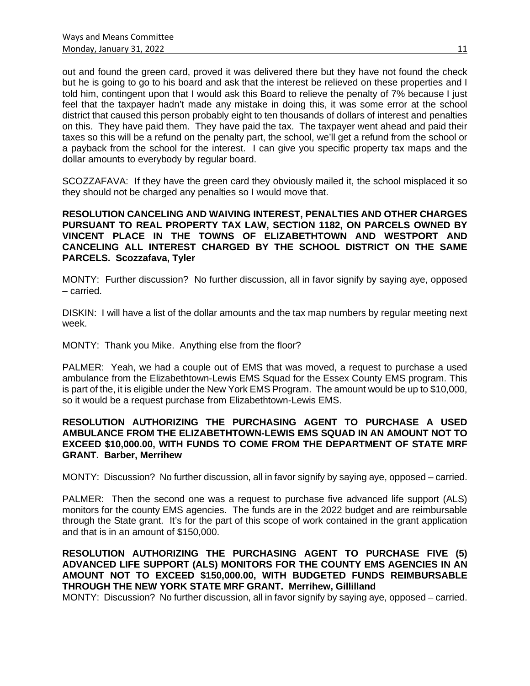out and found the green card, proved it was delivered there but they have not found the check but he is going to go to his board and ask that the interest be relieved on these properties and I told him, contingent upon that I would ask this Board to relieve the penalty of 7% because I just feel that the taxpayer hadn't made any mistake in doing this, it was some error at the school district that caused this person probably eight to ten thousands of dollars of interest and penalties on this. They have paid them. They have paid the tax. The taxpayer went ahead and paid their taxes so this will be a refund on the penalty part, the school, we'll get a refund from the school or a payback from the school for the interest. I can give you specific property tax maps and the dollar amounts to everybody by regular board.

SCOZZAFAVA: If they have the green card they obviously mailed it, the school misplaced it so they should not be charged any penalties so I would move that.

**RESOLUTION CANCELING AND WAIVING INTEREST, PENALTIES AND OTHER CHARGES PURSUANT TO REAL PROPERTY TAX LAW, SECTION 1182, ON PARCELS OWNED BY VINCENT PLACE IN THE TOWNS OF ELIZABETHTOWN AND WESTPORT AND CANCELING ALL INTEREST CHARGED BY THE SCHOOL DISTRICT ON THE SAME PARCELS. Scozzafava, Tyler**

MONTY: Further discussion? No further discussion, all in favor signify by saying aye, opposed – carried.

DISKIN: I will have a list of the dollar amounts and the tax map numbers by regular meeting next week.

MONTY: Thank you Mike. Anything else from the floor?

PALMER: Yeah, we had a couple out of EMS that was moved, a request to purchase a used ambulance from the Elizabethtown-Lewis EMS Squad for the Essex County EMS program. This is part of the, it is eligible under the New York EMS Program. The amount would be up to \$10,000, so it would be a request purchase from Elizabethtown-Lewis EMS.

# **RESOLUTION AUTHORIZING THE PURCHASING AGENT TO PURCHASE A USED AMBULANCE FROM THE ELIZABETHTOWN-LEWIS EMS SQUAD IN AN AMOUNT NOT TO EXCEED \$10,000.00, WITH FUNDS TO COME FROM THE DEPARTMENT OF STATE MRF GRANT. Barber, Merrihew**

MONTY: Discussion? No further discussion, all in favor signify by saying aye, opposed – carried.

PALMER: Then the second one was a request to purchase five advanced life support (ALS) monitors for the county EMS agencies. The funds are in the 2022 budget and are reimbursable through the State grant. It's for the part of this scope of work contained in the grant application and that is in an amount of \$150,000.

**RESOLUTION AUTHORIZING THE PURCHASING AGENT TO PURCHASE FIVE (5) ADVANCED LIFE SUPPORT (ALS) MONITORS FOR THE COUNTY EMS AGENCIES IN AN AMOUNT NOT TO EXCEED \$150,000.00, WITH BUDGETED FUNDS REIMBURSABLE THROUGH THE NEW YORK STATE MRF GRANT. Merrihew, Gillilland**

MONTY: Discussion? No further discussion, all in favor signify by saying aye, opposed – carried.